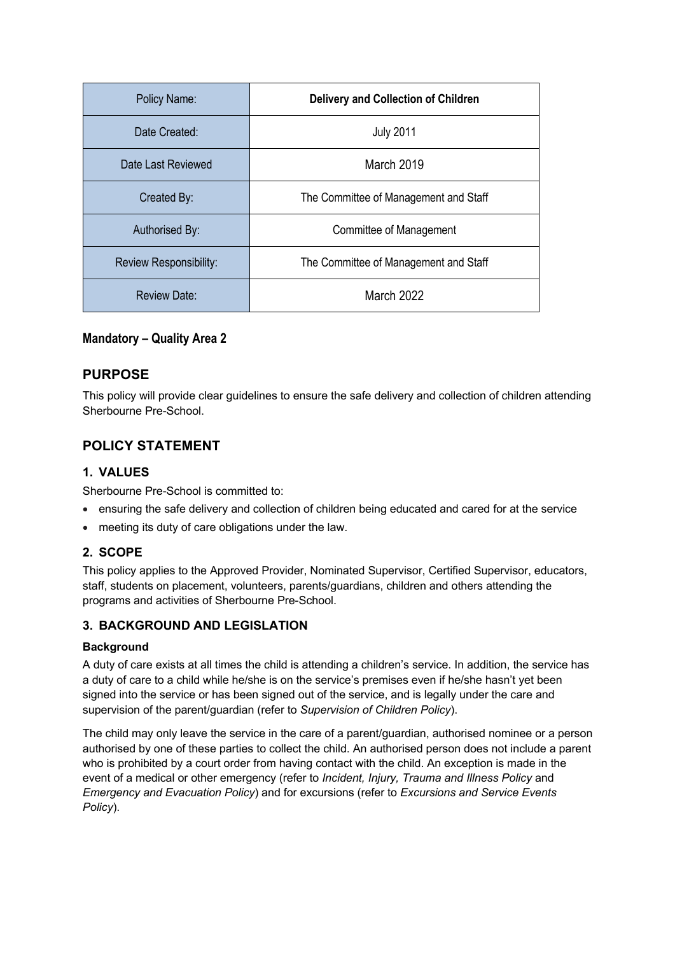| Policy Name:           | <b>Delivery and Collection of Children</b> |
|------------------------|--------------------------------------------|
| Date Created:          | <b>July 2011</b>                           |
| Date Last Reviewed     | March 2019                                 |
| Created By:            | The Committee of Management and Staff      |
| Authorised By:         | Committee of Management                    |
| Review Responsibility: | The Committee of Management and Staff      |
| Review Date:           | March 2022                                 |

## **Mandatory – Quality Area 2**

## **PURPOSE**

This policy will provide clear guidelines to ensure the safe delivery and collection of children attending Sherbourne Pre-School.

## **POLICY STATEMENT**

### **1. VALUES**

Sherbourne Pre-School is committed to:

- ensuring the safe delivery and collection of children being educated and cared for at the service
- meeting its duty of care obligations under the law.

### **2. SCOPE**

This policy applies to the Approved Provider, Nominated Supervisor, Certified Supervisor, educators, staff, students on placement, volunteers, parents/guardians, children and others attending the programs and activities of Sherbourne Pre-School.

### **3. BACKGROUND AND LEGISLATION**

#### **Background**

A duty of care exists at all times the child is attending a children's service. In addition, the service has a duty of care to a child while he/she is on the service's premises even if he/she hasn't yet been signed into the service or has been signed out of the service, and is legally under the care and supervision of the parent/guardian (refer to *Supervision of Children Policy*).

The child may only leave the service in the care of a parent/guardian, authorised nominee or a person authorised by one of these parties to collect the child. An authorised person does not include a parent who is prohibited by a court order from having contact with the child. An exception is made in the event of a medical or other emergency (refer to *Incident, Injury, Trauma and Illness Policy* and *Emergency and Evacuation Policy*) and for excursions (refer to *Excursions and Service Events Policy*).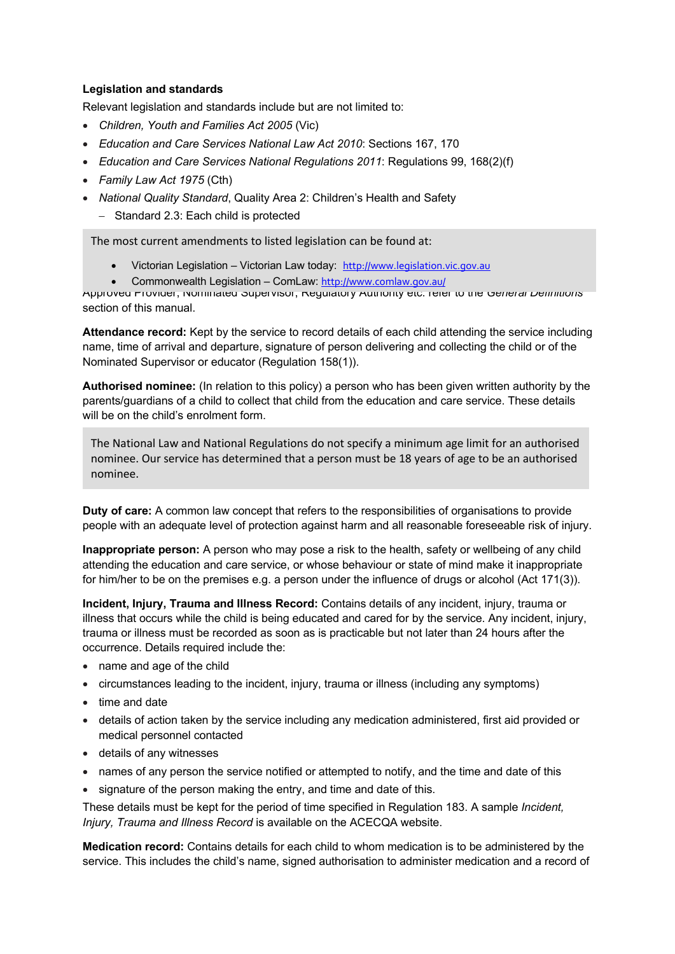#### **Legislation and standards**

Relevant legislation and standards include but are not limited to:

- *Children, Youth and Families Act 2005* (Vic)
- *Education and Care Services National Law Act 2010*: Sections 167, 170
- *Education and Care Services National Regulations 2011*: Regulations 99, 168(2)(f)
- *Family Law Act 1975* (Cth)
- *National Quality Standard*, Quality Area 2: Children's Health and Safety
	- Standard 2.3: Each child is protected

The most current amendments to listed legislation can be found at:

- **4. DEFINITIONS** Victorian Legislation Victorian Law today: http://www.legislation.vic.gov.au
- Commonwealth Legislation ComLaw: http://www.comlaw.gov.au/

Approved Provider, Nominated Supervisor, Regulatory Authority etc. refer to the *General Definitions* section of this manual.

**Attendance record:** Kept by the service to record details of each child attending the service including name, time of arrival and departure, signature of person delivering and collecting the child or of the Nominated Supervisor or educator (Regulation 158(1)).

**Authorised nominee:** (In relation to this policy) a person who has been given written authority by the parents/guardians of a child to collect that child from the education and care service. These details will be on the child's enrolment form.

The National Law and National Regulations do not specify a minimum age limit for an authorised nominee. Our service has determined that a person must be 18 years of age to be an authorised nominee.

**Duty of care:** A common law concept that refers to the responsibilities of organisations to provide people with an adequate level of protection against harm and all reasonable foreseeable risk of injury.

**Inappropriate person:** A person who may pose a risk to the health, safety or wellbeing of any child attending the education and care service, or whose behaviour or state of mind make it inappropriate for him/her to be on the premises e.g. a person under the influence of drugs or alcohol (Act 171(3)).

**Incident, Injury, Trauma and Illness Record:** Contains details of any incident, injury, trauma or illness that occurs while the child is being educated and cared for by the service. Any incident, injury, trauma or illness must be recorded as soon as is practicable but not later than 24 hours after the occurrence. Details required include the:

- name and age of the child
- circumstances leading to the incident, injury, trauma or illness (including any symptoms)
- time and date
- details of action taken by the service including any medication administered, first aid provided or medical personnel contacted
- details of any witnesses
- names of any person the service notified or attempted to notify, and the time and date of this
- signature of the person making the entry, and time and date of this.

These details must be kept for the period of time specified in Regulation 183. A sample *Incident, Injury, Trauma and Illness Record* is available on the ACECQA website.

**Medication record:** Contains details for each child to whom medication is to be administered by the service. This includes the child's name, signed authorisation to administer medication and a record of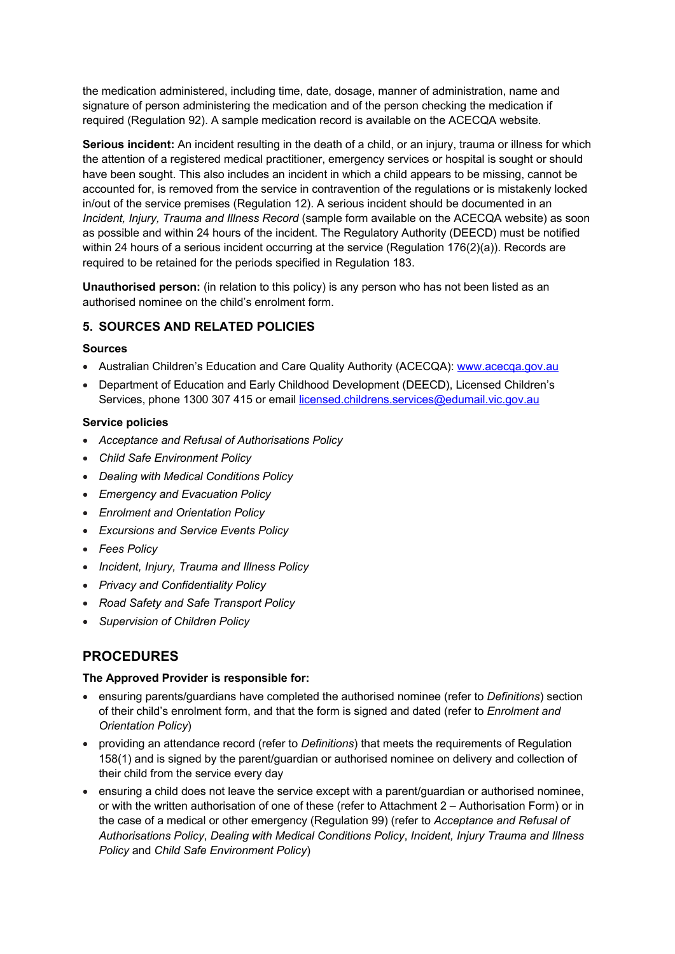the medication administered, including time, date, dosage, manner of administration, name and signature of person administering the medication and of the person checking the medication if required (Regulation 92). A sample medication record is available on the ACECQA website.

**Serious incident:** An incident resulting in the death of a child, or an injury, trauma or illness for which the attention of a registered medical practitioner, emergency services or hospital is sought or should have been sought. This also includes an incident in which a child appears to be missing, cannot be accounted for, is removed from the service in contravention of the regulations or is mistakenly locked in/out of the service premises (Regulation 12). A serious incident should be documented in an *Incident, Injury, Trauma and Illness Record* (sample form available on the ACECQA website) as soon as possible and within 24 hours of the incident. The Regulatory Authority (DEECD) must be notified within 24 hours of a serious incident occurring at the service (Regulation 176(2)(a)). Records are required to be retained for the periods specified in Regulation 183.

**Unauthorised person:** (in relation to this policy) is any person who has not been listed as an authorised nominee on the child's enrolment form.

### **5. SOURCES AND RELATED POLICIES**

#### **Sources**

- Australian Children's Education and Care Quality Authority (ACECQA): www.acecqa.gov.au
- Department of Education and Early Childhood Development (DEECD), Licensed Children's Services, phone 1300 307 415 or email licensed.childrens.services@edumail.vic.gov.au

#### **Service policies**

- *Acceptance and Refusal of Authorisations Policy*
- *Child Safe Environment Policy*
- *Dealing with Medical Conditions Policy*
- *Emergency and Evacuation Policy*
- *Enrolment and Orientation Policy*
- *Excursions and Service Events Policy*
- *Fees Policy*
- *Incident, Injury, Trauma and Illness Policy*
- *Privacy and Confidentiality Policy*
- *Road Safety and Safe Transport Policy*
- *Supervision of Children Policy*

## **PROCEDURES**

#### **The Approved Provider is responsible for:**

- ensuring parents/guardians have completed the authorised nominee (refer to *Definitions*) section of their child's enrolment form, and that the form is signed and dated (refer to *Enrolment and Orientation Policy*)
- providing an attendance record (refer to *Definitions*) that meets the requirements of Regulation 158(1) and is signed by the parent/guardian or authorised nominee on delivery and collection of their child from the service every day
- ensuring a child does not leave the service except with a parent/guardian or authorised nominee. or with the written authorisation of one of these (refer to Attachment 2 – Authorisation Form) or in the case of a medical or other emergency (Regulation 99) (refer to *Acceptance and Refusal of Authorisations Policy*, *Dealing with Medical Conditions Policy*, *Incident, Injury Trauma and Illness Policy* and *Child Safe Environment Policy*)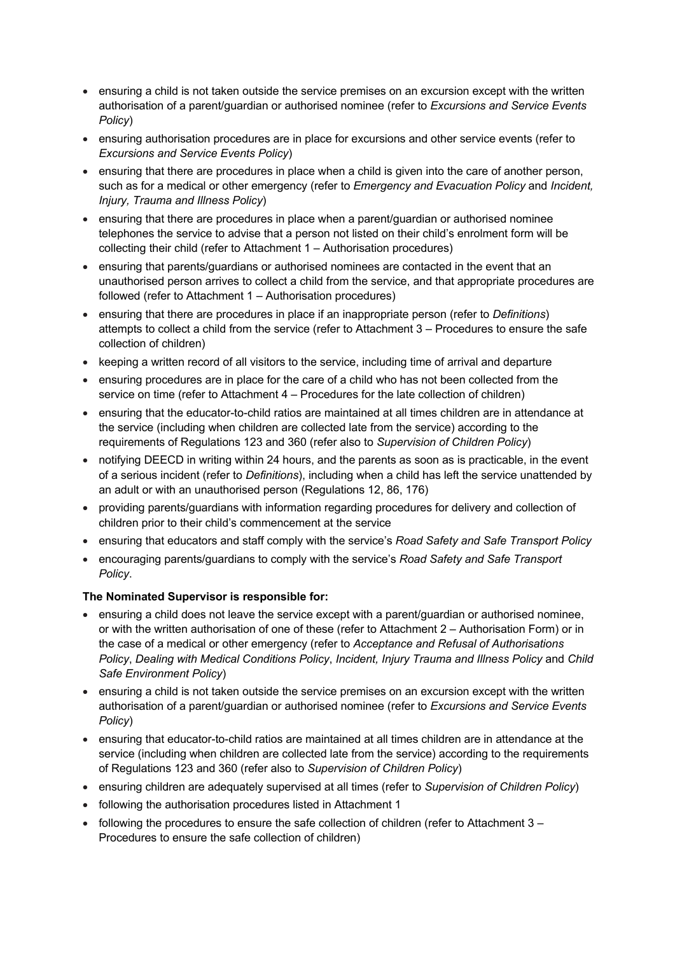- ensuring a child is not taken outside the service premises on an excursion except with the written authorisation of a parent/guardian or authorised nominee (refer to *Excursions and Service Events Policy*)
- ensuring authorisation procedures are in place for excursions and other service events (refer to *Excursions and Service Events Policy*)
- ensuring that there are procedures in place when a child is given into the care of another person, such as for a medical or other emergency (refer to *Emergency and Evacuation Policy* and *Incident, Injury, Trauma and Illness Policy*)
- ensuring that there are procedures in place when a parent/guardian or authorised nominee telephones the service to advise that a person not listed on their child's enrolment form will be collecting their child (refer to Attachment 1 – Authorisation procedures)
- ensuring that parents/guardians or authorised nominees are contacted in the event that an unauthorised person arrives to collect a child from the service, and that appropriate procedures are followed (refer to Attachment 1 – Authorisation procedures)
- ensuring that there are procedures in place if an inappropriate person (refer to *Definitions*) attempts to collect a child from the service (refer to Attachment 3 – Procedures to ensure the safe collection of children)
- keeping a written record of all visitors to the service, including time of arrival and departure
- ensuring procedures are in place for the care of a child who has not been collected from the service on time (refer to Attachment 4 – Procedures for the late collection of children)
- ensuring that the educator-to-child ratios are maintained at all times children are in attendance at the service (including when children are collected late from the service) according to the requirements of Regulations 123 and 360 (refer also to *Supervision of Children Policy*)
- notifying DEECD in writing within 24 hours, and the parents as soon as is practicable, in the event of a serious incident (refer to *Definitions*), including when a child has left the service unattended by an adult or with an unauthorised person (Regulations 12, 86, 176)
- providing parents/guardians with information regarding procedures for delivery and collection of children prior to their child's commencement at the service
- ensuring that educators and staff comply with the service's *Road Safety and Safe Transport Policy*
- encouraging parents/guardians to comply with the service's *Road Safety and Safe Transport Policy*.

#### **The Nominated Supervisor is responsible for:**

- ensuring a child does not leave the service except with a parent/guardian or authorised nominee, or with the written authorisation of one of these (refer to Attachment 2 – Authorisation Form) or in the case of a medical or other emergency (refer to *Acceptance and Refusal of Authorisations Policy*, *Dealing with Medical Conditions Policy*, *Incident, Injury Trauma and Illness Policy* and *Child Safe Environment Policy*)
- ensuring a child is not taken outside the service premises on an excursion except with the written authorisation of a parent/guardian or authorised nominee (refer to *Excursions and Service Events Policy*)
- ensuring that educator-to-child ratios are maintained at all times children are in attendance at the service (including when children are collected late from the service) according to the requirements of Regulations 123 and 360 (refer also to *Supervision of Children Policy*)
- ensuring children are adequately supervised at all times (refer to *Supervision of Children Policy*)
- following the authorisation procedures listed in Attachment 1
- following the procedures to ensure the safe collection of children (refer to Attachment 3 Procedures to ensure the safe collection of children)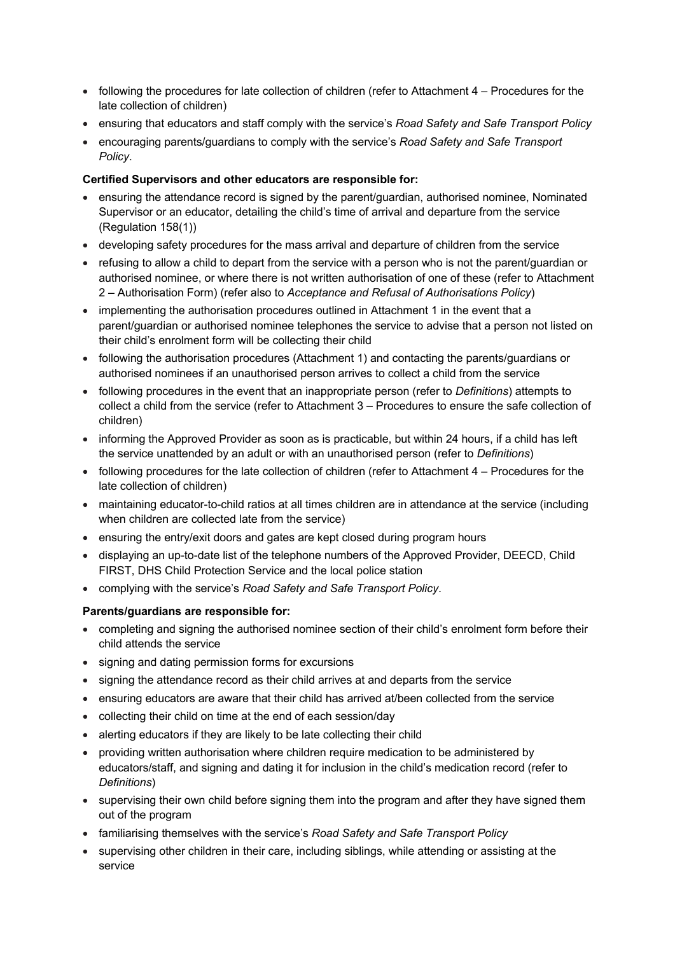- following the procedures for late collection of children (refer to Attachment 4 Procedures for the late collection of children)
- ensuring that educators and staff comply with the service's *Road Safety and Safe Transport Policy*
- encouraging parents/guardians to comply with the service's *Road Safety and Safe Transport Policy*.

#### **Certified Supervisors and other educators are responsible for:**

- ensuring the attendance record is signed by the parent/guardian, authorised nominee, Nominated Supervisor or an educator, detailing the child's time of arrival and departure from the service (Regulation 158(1))
- developing safety procedures for the mass arrival and departure of children from the service
- refusing to allow a child to depart from the service with a person who is not the parent/guardian or authorised nominee, or where there is not written authorisation of one of these (refer to Attachment 2 – Authorisation Form) (refer also to *Acceptance and Refusal of Authorisations Policy*)
- implementing the authorisation procedures outlined in Attachment 1 in the event that a parent/guardian or authorised nominee telephones the service to advise that a person not listed on their child's enrolment form will be collecting their child
- following the authorisation procedures (Attachment 1) and contacting the parents/guardians or authorised nominees if an unauthorised person arrives to collect a child from the service
- following procedures in the event that an inappropriate person (refer to *Definitions*) attempts to collect a child from the service (refer to Attachment 3 – Procedures to ensure the safe collection of children)
- informing the Approved Provider as soon as is practicable, but within 24 hours, if a child has left the service unattended by an adult or with an unauthorised person (refer to *Definitions*)
- following procedures for the late collection of children (refer to Attachment 4 Procedures for the late collection of children)
- maintaining educator-to-child ratios at all times children are in attendance at the service (including when children are collected late from the service)
- ensuring the entry/exit doors and gates are kept closed during program hours
- displaying an up-to-date list of the telephone numbers of the Approved Provider, DEECD, Child FIRST, DHS Child Protection Service and the local police station
- complying with the service's *Road Safety and Safe Transport Policy*.

#### **Parents/guardians are responsible for:**

- completing and signing the authorised nominee section of their child's enrolment form before their child attends the service
- signing and dating permission forms for excursions
- signing the attendance record as their child arrives at and departs from the service
- ensuring educators are aware that their child has arrived at/been collected from the service
- collecting their child on time at the end of each session/day
- alerting educators if they are likely to be late collecting their child
- providing written authorisation where children require medication to be administered by educators/staff, and signing and dating it for inclusion in the child's medication record (refer to *Definitions*)
- supervising their own child before signing them into the program and after they have signed them out of the program
- familiarising themselves with the service's *Road Safety and Safe Transport Policy*
- supervising other children in their care, including siblings, while attending or assisting at the service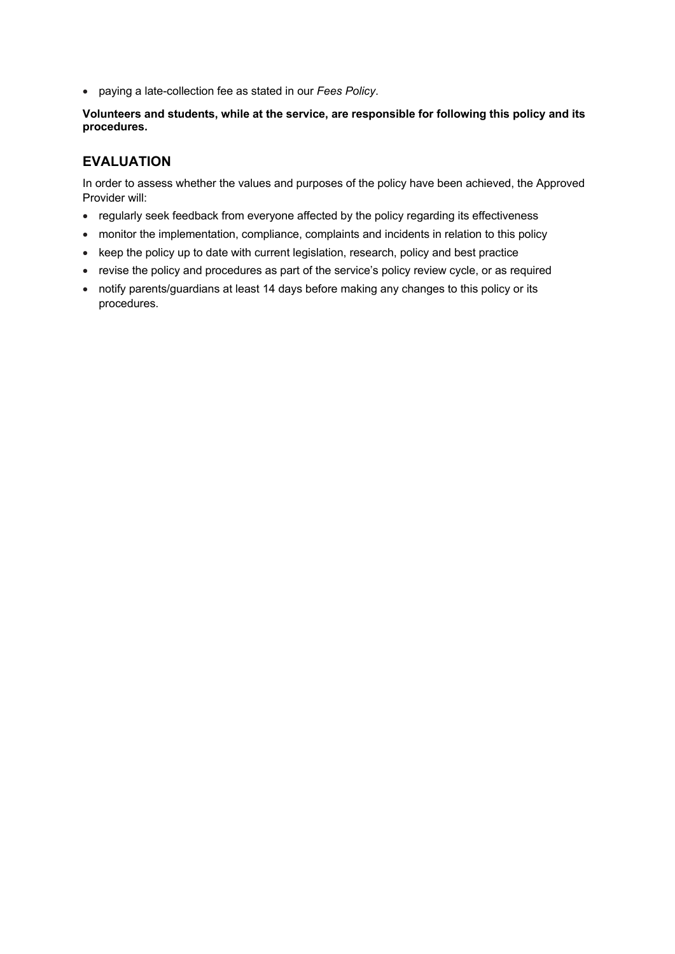• paying a late-collection fee as stated in our *Fees Policy*.

**Volunteers and students, while at the service, are responsible for following this policy and its procedures.**

## **EVALUATION**

In order to assess whether the values and purposes of the policy have been achieved, the Approved Provider will:

- regularly seek feedback from everyone affected by the policy regarding its effectiveness
- monitor the implementation, compliance, complaints and incidents in relation to this policy
- keep the policy up to date with current legislation, research, policy and best practice
- revise the policy and procedures as part of the service's policy review cycle, or as required
- notify parents/guardians at least 14 days before making any changes to this policy or its procedures.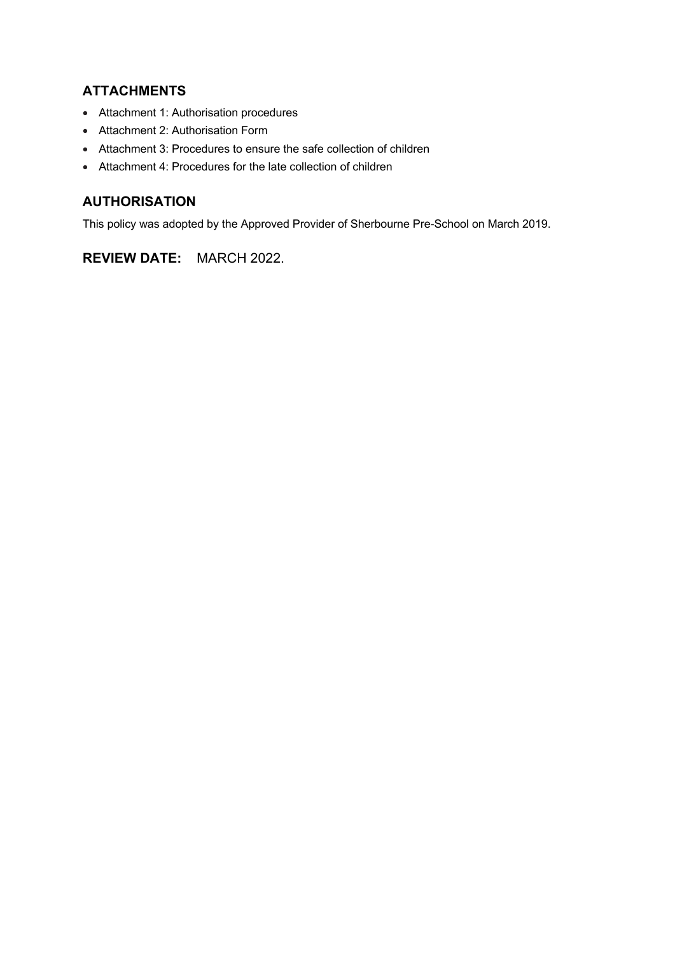## **ATTACHMENTS**

- Attachment 1: Authorisation procedures
- Attachment 2: Authorisation Form
- Attachment 3: Procedures to ensure the safe collection of children
- Attachment 4: Procedures for the late collection of children

## **AUTHORISATION**

This policy was adopted by the Approved Provider of Sherbourne Pre-School on March 2019.

**REVIEW DATE:** MARCH 2022.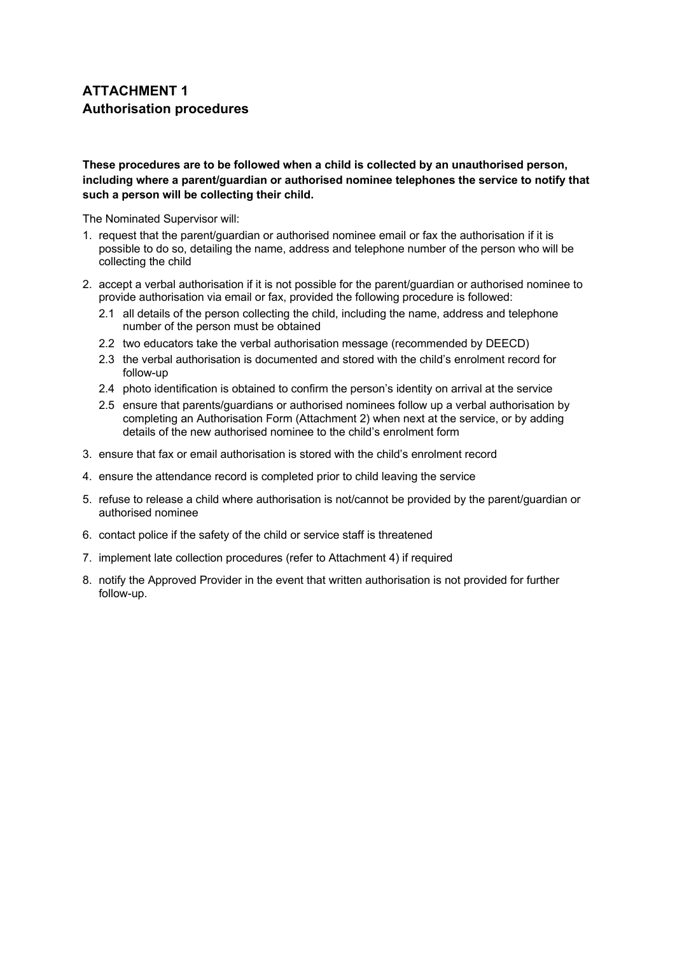# **ATTACHMENT 1 Authorisation procedures**

#### **These procedures are to be followed when a child is collected by an unauthorised person, including where a parent/guardian or authorised nominee telephones the service to notify that such a person will be collecting their child.**

The Nominated Supervisor will:

- 1. request that the parent/guardian or authorised nominee email or fax the authorisation if it is possible to do so, detailing the name, address and telephone number of the person who will be collecting the child
- 2. accept a verbal authorisation if it is not possible for the parent/guardian or authorised nominee to provide authorisation via email or fax, provided the following procedure is followed:
	- 2.1 all details of the person collecting the child, including the name, address and telephone number of the person must be obtained
	- 2.2 two educators take the verbal authorisation message (recommended by DEECD)
	- 2.3 the verbal authorisation is documented and stored with the child's enrolment record for follow-up
	- 2.4 photo identification is obtained to confirm the person's identity on arrival at the service
	- 2.5 ensure that parents/guardians or authorised nominees follow up a verbal authorisation by completing an Authorisation Form (Attachment 2) when next at the service, or by adding details of the new authorised nominee to the child's enrolment form
- 3. ensure that fax or email authorisation is stored with the child's enrolment record
- 4. ensure the attendance record is completed prior to child leaving the service
- 5. refuse to release a child where authorisation is not/cannot be provided by the parent/guardian or authorised nominee
- 6. contact police if the safety of the child or service staff is threatened
- 7. implement late collection procedures (refer to Attachment 4) if required
- 8. notify the Approved Provider in the event that written authorisation is not provided for further follow-up.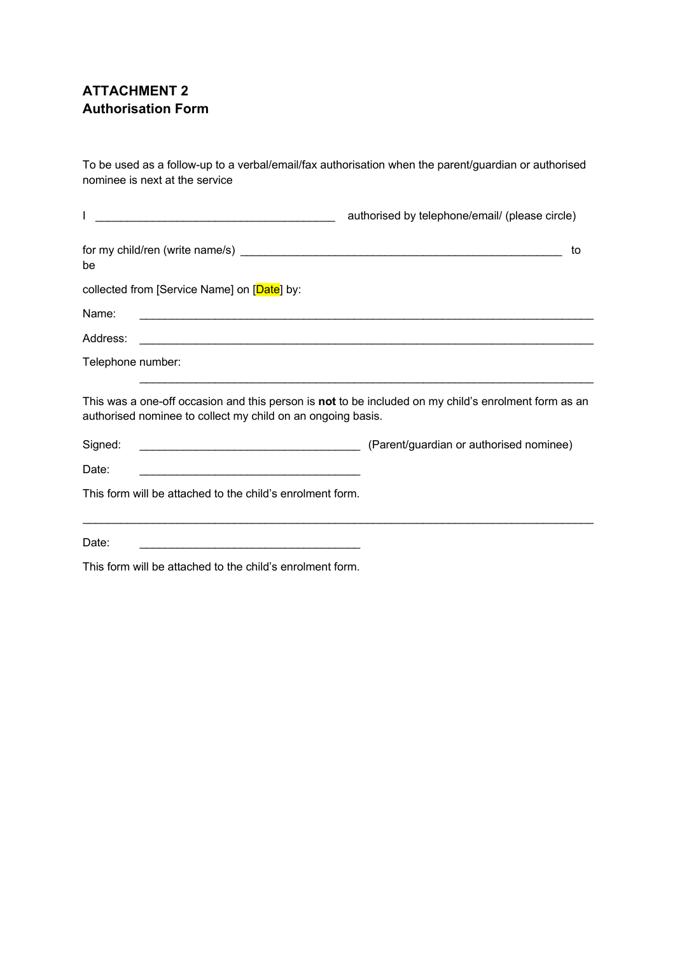# **ATTACHMENT 2 Authorisation Form**

To be used as a follow-up to a verbal/email/fax authorisation when the parent/guardian or authorised nominee is next at the service

|                                                                                                                                                                     | authorised by telephone/email/ (please circle)                                  |
|---------------------------------------------------------------------------------------------------------------------------------------------------------------------|---------------------------------------------------------------------------------|
| be                                                                                                                                                                  | to                                                                              |
| collected from [Service Name] on [Date] by:                                                                                                                         |                                                                                 |
| Name:                                                                                                                                                               |                                                                                 |
|                                                                                                                                                                     |                                                                                 |
| Telephone number:<br><u> 1989 - Johann Stoff, amerikansk politiker (d. 1989)</u>                                                                                    |                                                                                 |
| This was a one-off occasion and this person is not to be included on my child's enrolment form as an<br>authorised nominee to collect my child on an ongoing basis. |                                                                                 |
| Signed:                                                                                                                                                             | (Parent/guardian or authorised nominee) (Farent/guardian or authorised nominee) |
| Date:                                                                                                                                                               |                                                                                 |
| This form will be attached to the child's enrolment form.                                                                                                           |                                                                                 |
| Date:<br><u> 1989 - Johann Barbara, martxa alemaniar arg</u>                                                                                                        |                                                                                 |
| وتكرامه ومراويه وبروا والملاولة والمرابط لمتراوح والمستقلب ومرابا الارزاري<br>T1.1.1.2.4                                                                            |                                                                                 |

This form will be attached to the child's enrolment form.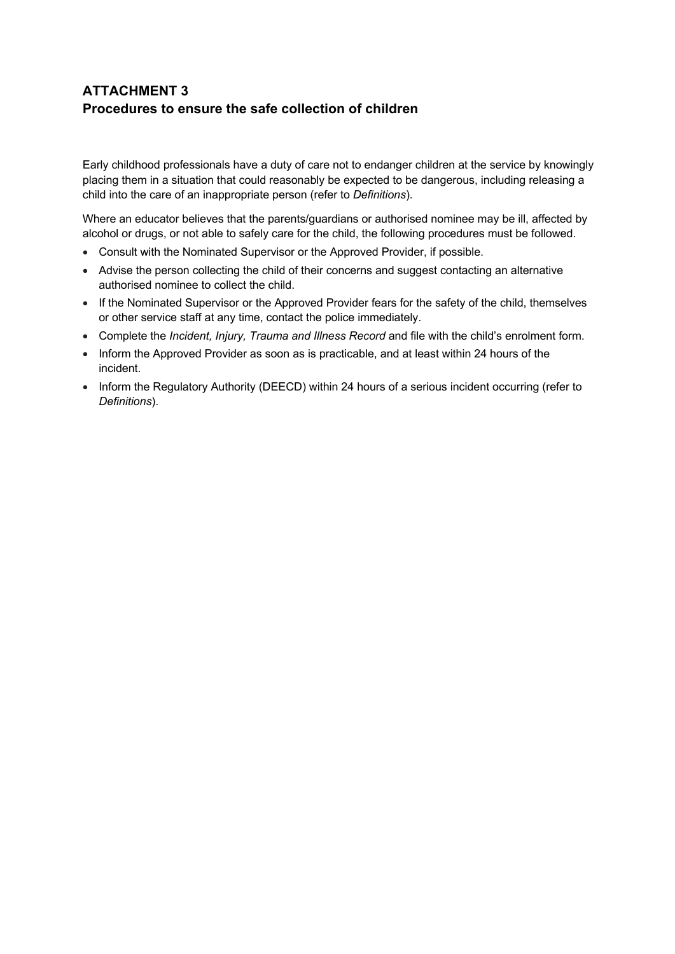# **ATTACHMENT 3 Procedures to ensure the safe collection of children**

Early childhood professionals have a duty of care not to endanger children at the service by knowingly placing them in a situation that could reasonably be expected to be dangerous, including releasing a child into the care of an inappropriate person (refer to *Definitions*).

Where an educator believes that the parents/guardians or authorised nominee may be ill, affected by alcohol or drugs, or not able to safely care for the child, the following procedures must be followed.

- Consult with the Nominated Supervisor or the Approved Provider, if possible.
- Advise the person collecting the child of their concerns and suggest contacting an alternative authorised nominee to collect the child.
- If the Nominated Supervisor or the Approved Provider fears for the safety of the child, themselves or other service staff at any time, contact the police immediately.
- Complete the *Incident, Injury, Trauma and Illness Record* and file with the child's enrolment form.
- Inform the Approved Provider as soon as is practicable, and at least within 24 hours of the incident.
- Inform the Regulatory Authority (DEECD) within 24 hours of a serious incident occurring (refer to *Definitions*).